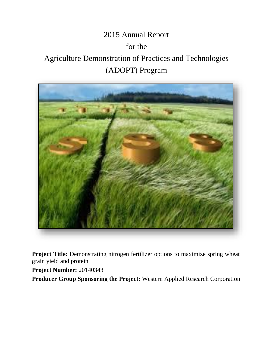# 2015 Annual Report for the Agriculture Demonstration of Practices and Technologies (ADOPT) Program



**Project Title:** Demonstrating nitrogen fertilizer options to maximize spring wheat grain yield and protein

**Project Number:** 20140343

**Producer Group Sponsoring the Project:** Western Applied Research Corporation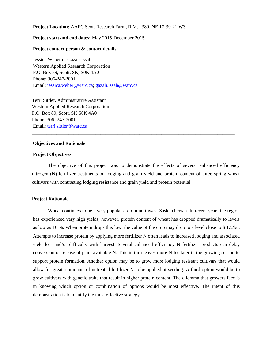## **Project Location:** AAFC Scott Research Farm, R.M. #380, NE 17-39-21 W3

## **Project start and end dates:** May 2015-December 2015

# **Project contact person & contact details:**

Jessica Weber or Gazali Issah Western Applied Research Corporation P.O. Box 89, Scott, SK, S0K 4A0 Phone: 306-247-2001 Email: [jessica.weber@warc.ca;](mailto:jessica.weber@warc.ca) [gazali.issah@warc.ca](mailto:gazali.issah@warc.ca)

Terri Sittler, Administrative Assistant Western Applied Research Corporation P.O. Box 89, Scott, SK S0K 4A0 Phone: 306- 247-2001 Email: [terri.sittler@warc.ca](mailto:terri.sittler@warc.ca)

#### **Objectives and Rationale**

### **Project Objectives**

The objective of this project was to demonstrate the effects of several enhanced efficiency nitrogen (N) fertilizer treatments on lodging and grain yield and protein content of three spring wheat cultivars with contrasting lodging resistance and grain yield and protein potential.

\_\_\_\_\_\_\_\_\_\_\_\_\_\_\_\_\_\_\_\_\_\_\_\_\_\_\_\_\_\_\_\_\_\_\_\_\_\_\_\_\_\_\_\_\_\_\_\_\_\_\_\_\_\_\_\_\_\_\_\_\_\_\_\_\_\_\_\_\_\_\_\_\_\_\_\_\_\_\_\_\_\_\_

## **Project Rationale**

Wheat continues to be a very popular crop in northwest Saskatchewan. In recent years the region has experienced very high yields; however, protein content of wheat has dropped dramatically to levels as low as 10 %. When protein drops this low, the value of the crop may drop to a level close to \$ 1.5/bu. Attempts to increase protein by applying more fertilizer N often leads to increased lodging and associated yield loss and/or difficulty with harvest. Several enhanced efficiency N fertilizer products can delay conversion or release of plant available N. This in turn leaves more N for later in the growing season to support protein formation. Another option may be to grow more lodging resistant cultivars that would allow for greater amounts of untreated fertilizer N to be applied at seeding. A third option would be to grow cultivars with genetic traits that result in higher protein content. The dilemma that growers face is in knowing which option or combination of options would be most effective. The intent of this demonstration is to identify the most effective strategy.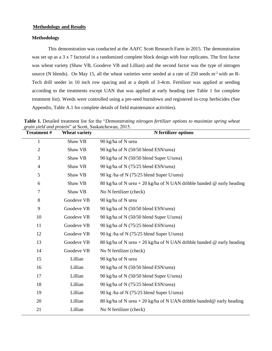# **Methodology and Results**

## **Methodology**

This demonstration was conducted at the AAFC Scott Research Farm in 2015. The demonstration was set up as a 3 x 7 factorial in a randomized complete block design with four replicates. The first factor was wheat variety (Shaw VB, Goodeve VB and Lillian) and the second factor was the type of nitrogen source (N blends). On May 15, all the wheat varieties were seeded at a rate of 250 seeds m<sup>-2</sup> with an R-Tech drill seeder in 10 inch row spacing and at a depth of 3-4cm. Fertilizer was applied at seeding according to the treatments except UAN that was applied at early heading (see Table 1 for complete treatment list). Weeds were controlled using a pre-seed burndown and registered in-crop herbicides (See Appendix, Table A.1 for complete details of field maintenance activities).

| <b>Treatment#</b> | gram yield and protein at Scott, Saskatchewall, 2019.<br><b>Wheat variety</b> | <b>N</b> fertilizer options                                                  |
|-------------------|-------------------------------------------------------------------------------|------------------------------------------------------------------------------|
| 1                 | Shaw VB                                                                       | 90 kg/ha of N urea                                                           |
| $\mathfrak{2}$    | Shaw VB                                                                       | 90 kg/ha of N (50/50 blend ESN/urea)                                         |
| 3                 | Shaw VB                                                                       | 90 kg/ha of N (50/50 blend Super U/urea)                                     |
| $\overline{4}$    | Shaw VB                                                                       | 90 kg/ha of N (75/25 blend ESN/urea)                                         |
| 5                 | Shaw VB                                                                       | 90 kg/ha of N (75/25 blend Super U/urea)                                     |
| 6                 | Shaw VB                                                                       | 80 kg/ha of N urea + 20 kg/ha of N UAN dribble banded @ early heading        |
| $\tau$            | Shaw VB                                                                       | No N fertilizer (check)                                                      |
| 8                 | Goodeve VB                                                                    | 90 kg/ha of N urea                                                           |
| 9                 | Goodeve VB                                                                    | 90 kg/ha of N (50/50 blend ESN/urea)                                         |
| 10                | Goodeve VB                                                                    | 90 kg/ha of N (50/50 blend Super U/urea)                                     |
| 11                | Goodeve VB                                                                    | 90 kg/ha of N (75/25 blend ESN/urea)                                         |
| 12                | Goodeve VB                                                                    | 90 kg /ha of N (75/25 blend Super U/urea)                                    |
| 13                | Goodeve VB                                                                    | 80 kg/ha of N urea + 20 kg/ha of N UAN dribble banded @ early heading        |
| 14                | Goodeve VB                                                                    | No N fertilizer (check)                                                      |
| 15                | Lillian                                                                       | 90 kg/ha of N urea                                                           |
| 16                | Lillian                                                                       | 90 kg/ha of N (50/50 blend ESN/urea)                                         |
| 17                | Lillian                                                                       | 90 kg/ha of N (50/50 blend Super U/urea)                                     |
| 18                | Lillian                                                                       | 90 kg/ha of N (75/25 blend ESN/urea)                                         |
| 19                | Lillian                                                                       | 90 kg/ha of N (75/25 blend Super U/urea)                                     |
| 20                | Lillian                                                                       | 80 kg/ha of N urea + 20 kg/ha of N UAN dribble banded $\omega$ early heading |
| 21                | Lillian                                                                       | No N fertilizer (check)                                                      |

**Table 1.** Detailed treatment list for the "*Demonstrating nitrogen fertilizer options to maximize spring wheat grain yield and protein*" at Scott, Saskatchewan, 2015.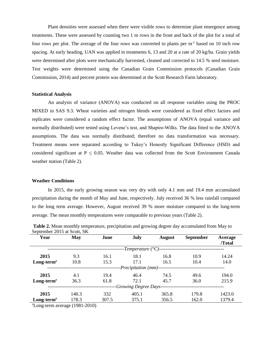Plant densities were assessed when there were visible rows to determine plant emergence among treatments. These were assessed by counting two 1 m rows in the front and back of the plot for a total of four rows per plot. The average of the four rows was converted to plants per m-2 based on 10 inch row spacing. At early heading, UAN was applied in treatments 6, 13 and 20 at a rate of 20 kg/ha. Grain yields were determined after plots were mechanically harvested, cleaned and corrected to 14.5 % seed moisture. Test weights were determined using the Canadian Grain Commission protocols (Canadian Grain Commission, 2014) and percent protein was determined at the Scott Research Farm laboratory.

#### **Statistical Analysis**

An analysis of variance (ANOVA) was conducted on all response variables using the PROC MIXED in SAS 9.3. Wheat varieties and nitrogen blends were considered as fixed effect factors and replicates were considered a random effect factor. The assumptions of ANOVA (equal variance and normally distributed) were tested using Levene's test, and Shapiro-Wilks. The data fitted to the ANOVA assumptions. The data was normally distributed; therefore no data transformation was necessary. Treatment means were separated according to Tukey's Honestly Significant Difference (HSD) and considered significant at  $P \le 0.05$ . Weather data was collected from the Scott Environment Canada weather station (Table 2).

## **Weather Conditions**

In 2015, the early growing season was very dry with only 4.1 mm and 19.4 mm accumulated precipitation during the month of May and June, respectively. July received 36 % less rainfall compared to the long term average. However, August received 39 % more moisture compared to the long-term average. The mean monthly temperatures were comparable to previous years (Table 2).

| S                                      |            |       |       |               |                  |                   |
|----------------------------------------|------------|-------|-------|---------------|------------------|-------------------|
| Year                                   | <b>May</b> | June  | July  | <b>August</b> | <b>September</b> | Average<br>/Total |
| -Temperature $(^{\circ}C)$ --          |            |       |       |               |                  |                   |
| 2015                                   | 9.3        | 16.1  | 18.1  | 16.8          | 10.9             | 14.24             |
| $Long-termz$                           | 10.8       | 15.3  | 17.1  | 16.5          | 10.4             | 14.0              |
| - <i>Precipitation</i> ( <i>mm</i> )-- |            |       |       |               |                  |                   |
| 2015                                   | 4.1        | 19.4  | 46.4  | 74.5          | 49.6             | 194.0             |
| $Long-termz$                           | 36.3       | 61.8  | 72.1  | 45.7          | 36.0             | 215.9             |
| -Growing Degree Days-                  |            |       |       |               |                  |                   |
| 2015                                   | 140.3      | 332   | 405.1 | 365.8         | 179.8            | 1423.0            |
| $Long-termz$                           | 178.3      | 307.5 | 375.1 | 356.5         | 162.0            | 1379.4            |
| $\sim$ $\sim$ $\sim$                   | (10010010) |       |       |               |                  |                   |

**Table 2.** Mean monthly temperature, precipitation and growing degree day accumulated from May to September 2015 at Scott, SK

 $\text{ZLong-term average}$  (1981-2010)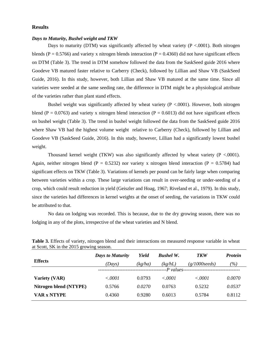## **Results**

#### *Days to Maturity, Bushel weight and TKW*

Days to maturity (DTM) was significantly affected by wheat variety ( $P < .0001$ ). Both nitrogen blends (P = 0.5766) and variety x nitrogen blends interaction (P = 0.4360) did not have significant effects on DTM (Table 3). The trend in DTM somehow followed the data from the SaskSeed guide 2016 where Goodeve VB matured faster relative to Carberry (Check), followed by Lillian and Shaw VB (SaskSeed Guide, 2016). In this study, however, both Lillian and Shaw VB matured at the same time. Since all varieties were seeded at the same seeding rate, the difference in DTM might be a physiological attribute of the varieties rather than plant stand effects.

Bushel weight was significantly affected by wheat variety  $(P < .0001)$ . However, both nitrogen blend (P = 0.0763) and variety x nitrogen blend interaction (P = 0.6013) did not have significant effects on bushel weight (Table 3). The trend in bushel weight followed the data from the SaskSeed guide 2016 where Shaw VB had the highest volume weight relative to Carberry (Check), followed by Lillian and Goodeve VB (SaskSeed Guide, 2016). In this study, however, Lillian had a significantly lowest bushel weight.

Thousand kernel weight (TKW) was also significantly affected by wheat variety ( $P < .0001$ ). Again, neither nitrogen blend (P = 0.5232) nor variety x nitrogen blend interaction (P = 0.5784) had significant effects on TKW (Table 3). Variations of kernels per pound can be fairly large when comparing between varieties within a crop. These large variations can result in over-seeding or under-seeding of a crop, which could result reduction in yield (Geiszler and Hoag, 1967; Riveland et al., 1979). In this study, since the varieties had differences in kernel weights at the onset of seeding, the variations in TKW could be attributed to that.

No data on lodging was recorded. This is because, due to the dry growing season, there was no lodging in any of the plots, irrespective of the wheat varieties and N blend.

|                        | <b>Days to Maturity</b>          | Yield   | <b>Bushel W.</b> | <b>TKW</b>              | <b>Protein</b> |
|------------------------|----------------------------------|---------|------------------|-------------------------|----------------|
| <b>Effects</b>         | (Days)                           | (kg/ha) | (kg/hL)          | $(g/1000 \text{seeds})$ | $( \% )$       |
|                        | -------------------------------- |         | --P values--     |                         |                |
| <b>Variety (VAR)</b>   | < .0001                          | 0.0793  | < .0001          | < .0001                 | 0.0070         |
| Nitrogen blend (NTYPE) | 0.5766                           | 0.0270  | 0.0763           | 0.5232                  | 0.0537         |
| <b>VAR x NTYPE</b>     | 0.4360                           | 0.9280  | 0.6013           | 0.5784                  | 0.8112         |

**Table 3.** Effects of variety, nitrogen blend and their interactions on measured response variable in wheat at Scott, SK in the 2015 growing season.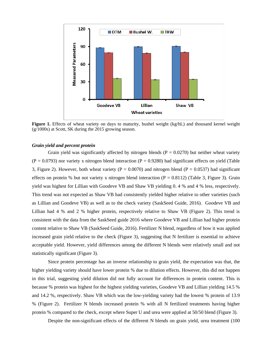

**Figure 1.** Effects of wheat variety on days to maturity, bushel weight (kg/hL) and thousand kernel weight (g/1000s) at Scott, SK during the 2015 growing season.

## *Grain yield and percent protein*

Grain yield was significantly affected by nitrogen blends  $(P = 0.0270)$  but neither wheat variety  $(P = 0.0793)$  nor variety x nitrogen blend interaction  $(P = 0.9280)$  had significant effects on yield (Table 3, Figure 2). However, both wheat variety ( $P = 0.0070$ ) and nitrogen blend ( $P = 0.0537$ ) had significant effects on protein % but not variety x nitrogen blend interaction ( $P = 0.8112$ ) (Table 3, Figure 3). Grain yield was highest for Lillian with Goodeve VB and Shaw VB yielding 0. 4 % and 4 % less, respectively. This trend was not expected as Shaw VB had consistently yielded higher relative to other varieties (such as Lillian and Goodeve VB) as well as to the check variety (SaskSeed Guide, 2016). Goodeve VB and Lillian had 4 % and 2 % higher protein, respectively relative to Shaw VB (Figure 2). This trend is consistent with the data from the SaskSeed guide 2016 where Goodeve VB and Lillian had higher protein content relative to Shaw VB (SaskSeed Guide, 2016). Fertilizer N blend, regardless of how it was applied increased grain yield relative to the check (Figure 3), suggesting that N fertilizer is essential to achieve acceptable yield. However, yield differences among the different N blends were relatively small and not statistically significant (Figure 3).

Since protein percentage has an inverse relationship to grain yield, the expectation was that, the higher yielding variety should have lower protein % due to dilution effects. However, this did not happen in this trial, suggesting yield dilution did not fully account for differences in protein content. This is because % protein was highest for the highest yielding varieties, Goodeve VB and Lillian yielding 14.5 % and 14.2 %, respectively. Shaw VB which was the low-yielding variety had the lowest % protein of 13.9 % (Figure 2). Fertilizer N blends increased protein % with all N fertilized treatments having higher protein % compared to the check, except where Super U and urea were applied at 50/50 blend (Figure 3).

Despite the non-significant effects of the different N blends on grain yield, urea treatment (100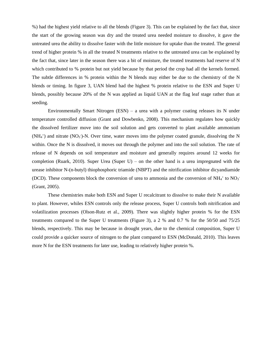%) had the highest yield relative to all the blends (Figure 3). This can be explained by the fact that, since the start of the growing season was dry and the treated urea needed moisture to dissolve, it gave the untreated urea the ability to dissolve faster with the little moisture for uptake than the treated. The general trend of higher protein % in all the treated N treatments relative to the untreated urea can be explained by the fact that, since later in the season there was a bit of moisture, the treated treatments had reserve of N which contributed to % protein but not yield because by that period the crop had all the kernels formed. The subtle differences in % protein within the N blends may either be due to the chemistry of the N blends or timing. In figure 3, UAN blend had the highest % protein relative to the ESN and Super U blends, possibly because 20% of the N was applied as liquid UAN at the flag leaf stage rather than at seeding.

Environmentally Smart Nitrogen  $(ESN) - a$  urea with a polymer coating releases its N under temperature controlled diffusion (Grant and Dowbenko, 2008). This mechanism regulates how quickly the dissolved fertilizer move into the soil solution and gets converted to plant available ammonium  $(NH<sub>4</sub><sup>+</sup>)$  and nitrate  $(NO<sub>3</sub>)$ -N. Over time, water moves into the polymer coated granule, dissolving the N within. Once the N is dissolved, it moves out through the polymer and into the soil solution. The rate of release of N depends on soil temperature and moisture and generally requires around 12 weeks for completion (Ruark, 2010). Super Urea (Super U) – on the other hand is a urea impregnated with the urease inhibitor N-(n-butyl) thiophosphoric triamide (NBPT) and the nitrification inhibitor dicyandiamide (DCD). These components block the conversion of urea to ammonia and the conversion of  $NH_4$ <sup>+</sup> to  $NO_3$ <sup>-</sup> (Grant, 2005).

These chemistries make both ESN and Super U recalcitrant to dissolve to make their N available to plant. However, whiles ESN controls only the release process, Super U controls both nitrification and volatilization processes (Olson-Rutz et al., 2009). There was slightly higher protein % for the ESN treatments compared to the Super U treatments (Figure 3), a 2 % and 0.7 % for the 50/50 and 75/25 blends, respectively. This may be because in drought years, due to the chemical composition, Super U could provide a quicker source of nitrogen to the plant compared to ESN (McDonald, 2010). This leaves more N for the ESN treatments for later use, leading to relatively higher protein %.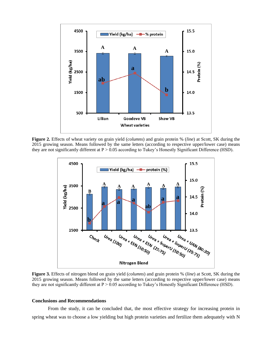

**Figure 2.** Effects of wheat variety on grain yield (*columns*) and grain protein % (*line*) at Scott, SK during the 2015 growing season. Means followed by the same letters (according to respective upper/lower case) means they are not significantly different at  $P > 0.05$  according to Tukey's Honestly Significant Difference (HSD).



**Figure 3.** Effects of nitrogen blend on grain yield (*columns*) and grain protein % (*line*) at Scott, SK during the 2015 growing season. Means followed by the same letters (according to respective upper/lower case) means they are not significantly different at P > 0.05 according to Tukey's Honestly Significant Difference (HSD).

#### **Conclusions and Recommendations**

From the study, it can be concluded that, the most effective strategy for increasing protein in spring wheat was to choose a low yielding but high protein varieties and fertilize them adequately with N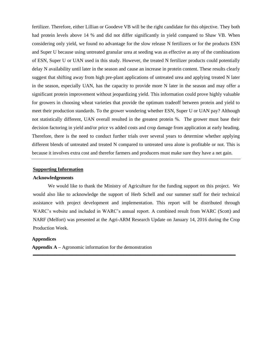fertilizer. Therefore, either Lillian or Goodeve VB will be the right candidate for this objective. They both had protein levels above 14 % and did not differ significantly in yield compared to Shaw VB. When considering only yield, we found no advantage for the slow release N fertilizers or for the products ESN and Super U because using untreated granular urea at seeding was as effective as any of the combinations of ESN, Super U or UAN used in this study. However, the treated N fertilizer products could potentially delay N availability until later in the season and cause an increase in protein content. These results clearly suggest that shifting away from high pre-plant applications of untreated urea and applying treated N later in the season, especially UAN, has the capacity to provide more N later in the season and may offer a significant protein improvement without jeopardizing yield. This information could prove highly valuable for growers in choosing wheat varieties that provide the optimum tradeoff between protein and yield to meet their production standards. To the grower wondering whether ESN, Super U or UAN pay? Although not statistically different, UAN overall resulted in the greatest protein %. The grower must base their decision factoring in yield and/or price vs added costs and crop damage from application at early heading. Therefore, there is the need to conduct further trials over several years to determine whether applying different blends of untreated and treated N compared to untreated urea alone is profitable or not. This is because it involves extra cost and therefor farmers and producers must make sure they have a net gain.

# **Supporting Information**

## **Acknowledgements**

We would like to thank the Ministry of Agriculture for the funding support on this project. We would also like to acknowledge the support of Herb Schell and our summer staff for their technical assistance with project development and implementation. This report will be distributed through WARC's website and included in WARC's annual report. A combined result from WARC (Scott) and NARF (Melfort) was presented at the Agri-ARM Research Update on January 14, 2016 during the Crop Production Week.

**\_\_\_\_\_\_\_\_\_\_\_\_\_\_\_\_\_\_\_\_\_\_\_\_\_\_\_\_\_\_\_\_\_\_\_\_\_\_\_\_\_\_\_\_\_\_\_\_\_\_\_\_\_\_\_\_\_\_\_\_\_\_\_\_\_\_\_\_\_\_\_\_\_\_\_\_\_\_\_\_\_\_\_**

# **Appendices**

**Appendix A –** Agronomic information for the demonstration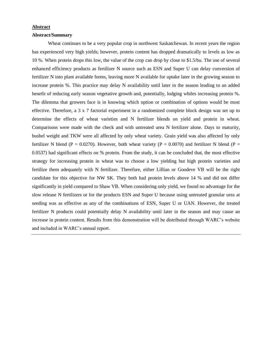## **Abstract**

## **Abstract/Summary**

Wheat continues to be a very popular crop in northwest Saskatchewan. In recent years the region has experienced very high yields; however, protein content has dropped dramatically to levels as low as 10 %. When protein drops this low, the value of the crop can drop by close to \$1.5/bu. The use of several enhanced efficiency products as fertilizer N source such as ESN and Super U can delay conversion of fertilizer N into plant available forms, leaving more N available for uptake later in the growing season to increase protein %. This practice may delay N availability until later in the season leading to an added benefit of reducing early season vegetative growth and, potentially, lodging whiles increasing protein %. The dilemma that growers face is in knowing which option or combination of options would be most effective. Therefore, a 3 x 7 factorial experiment in a randomized complete block design was set up to determine the effects of wheat varieties and N fertilizer blends on yield and protein in wheat. Comparisons were made with the check and with untreated urea N fertilizer alone. Days to maturity, bushel weight and TKW were all affected by only wheat variety. Grain yield was also affected by only fertilizer N blend (P = 0.0270). However, both wheat variety (P = 0.0070) and fertilizer N blend (P = 0.0537) had significant effects on % protein. From the study, it can be concluded that, the most effective strategy for increasing protein in wheat was to choose a low yielding but high protein varieties and fertilize them adequately with N fertilizer. Therefore, either Lillian or Goodeve VB will be the right candidate for this objective for NW SK. They both had protein levels above 14 % and did not differ significantly in yield compared to Shaw VB. When considering only yield, we found no advantage for the slow release N fertilizers or for the products ESN and Super U because using untreated granular urea at seeding was as effective as any of the combinations of ESN, Super U or UAN. However, the treated fertilizer N products could potentially delay N availability until later in the season and may cause an increase in protein content. Results from this demonstration will be distributed through WARC's website and included in WARC's annual report.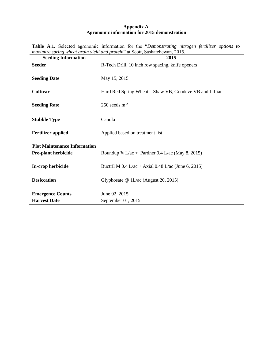# **Appendix A Agronomic information for 2015 demonstration**

| <b>Seeding Information</b>          | 2015                                                        |
|-------------------------------------|-------------------------------------------------------------|
| <b>Seeder</b>                       | R-Tech Drill, 10 inch row spacing, knife openers            |
| <b>Seeding Date</b>                 | May 15, 2015                                                |
| Cultivar                            | Hard Red Spring Wheat – Shaw VB, Goodeve VB and Lillian     |
| <b>Seeding Rate</b>                 | $250$ seeds $m^{-2}$                                        |
| <b>Stubble Type</b>                 | Canola                                                      |
| <b>Fertilizer applied</b>           | Applied based on treatment list                             |
| <b>Plot Maintenance Information</b> |                                                             |
| Pre-plant herbicide                 | Roundup $\frac{3}{4}$ L/ac + Pardner 0.4 L/ac (May 8, 2015) |
| In-crop herbicide                   | Buctril M $0.4$ L/ac + Axial 0.48 L/ac (June 6, 2015)       |
| <b>Desiccation</b>                  | Glyphosate $@1L/ac$ (August 20, 2015)                       |
| <b>Emergence Counts</b>             | June 02, 2015                                               |
| <b>Harvest Date</b>                 | September 01, 2015                                          |

**Table A.1.** Selected agronomic information for the "*Demonstrating nitrogen fertilizer options to maximize spring wheat grain yield and protein*" at Scott, Saskatchewan, 2015.